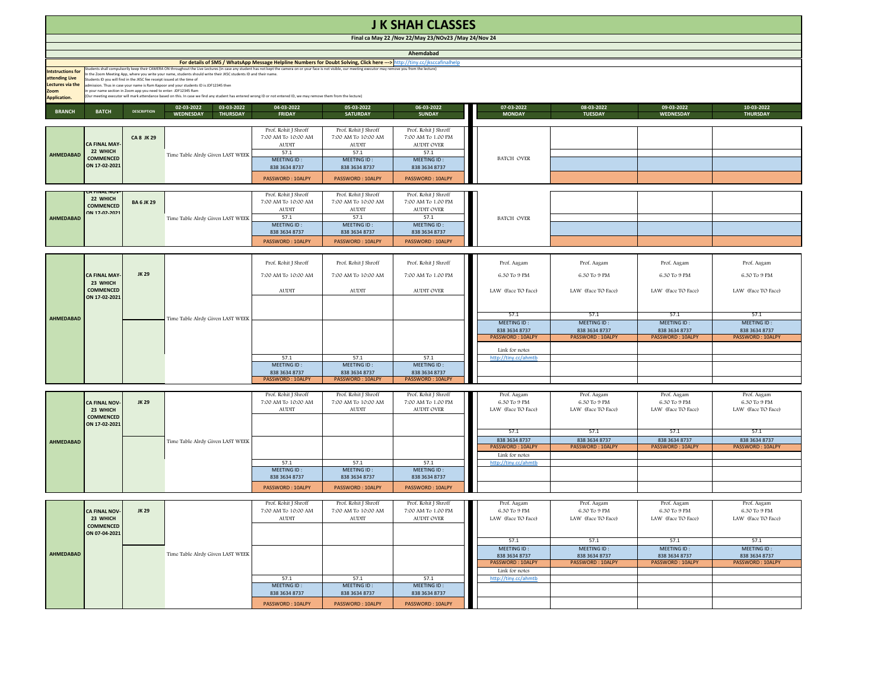| <b>J K SHAH CLASSES</b>                                                                                                               |                                                                                                                                                                                                                                                                                                                                                                                                                                                                                                                                                                                                                                                                                                                                                |                    |                                                          |                                                                                                                         |                                                                                                                         |                                                                                                                      |  |                                                          |                                                          |                                                          |                                                          |
|---------------------------------------------------------------------------------------------------------------------------------------|------------------------------------------------------------------------------------------------------------------------------------------------------------------------------------------------------------------------------------------------------------------------------------------------------------------------------------------------------------------------------------------------------------------------------------------------------------------------------------------------------------------------------------------------------------------------------------------------------------------------------------------------------------------------------------------------------------------------------------------------|--------------------|----------------------------------------------------------|-------------------------------------------------------------------------------------------------------------------------|-------------------------------------------------------------------------------------------------------------------------|----------------------------------------------------------------------------------------------------------------------|--|----------------------------------------------------------|----------------------------------------------------------|----------------------------------------------------------|----------------------------------------------------------|
| Final ca May 22 / Nov 22/May 23/NOv23 / May 24/Nov 24                                                                                 |                                                                                                                                                                                                                                                                                                                                                                                                                                                                                                                                                                                                                                                                                                                                                |                    |                                                          |                                                                                                                         |                                                                                                                         |                                                                                                                      |  |                                                          |                                                          |                                                          |                                                          |
| Ahemdabad<br>For details of SMS / WhatsApp Message Helpline Numbers for Doubt Solving, Click here ---> http://tiny.cc/jksccafinalhelp |                                                                                                                                                                                                                                                                                                                                                                                                                                                                                                                                                                                                                                                                                                                                                |                    |                                                          |                                                                                                                         |                                                                                                                         |                                                                                                                      |  |                                                          |                                                          |                                                          |                                                          |
| <b>Intstructions for</b><br>attending Live<br>Lectures via the<br>Zoom<br><b>Application.</b>                                         | Students shall compulsorily keep their CAMERA ON throughout the Live Lectures (in case any student has not kept the camera on or your face is not visible, our meeting executor may remove you from the lecture)<br>n the Zoom Meeting App, where you write your name, students should write their JKSC students ID and their name.<br>Students ID you will find in the JKSC fee receipt issued at the time of<br>dmission. Thus in case your name is Ram Kapoor and your students ID is JDF12345 then<br>n your name section in Zoom app you need to enter- JDF12345 Ram<br>Our meeting executor will mark attendance based on this. In case we find any student has entered wrong ID or not entered ID, we may remove them from the lecture) |                    |                                                          |                                                                                                                         |                                                                                                                         |                                                                                                                      |  |                                                          |                                                          |                                                          |                                                          |
| <b>BRANCH</b>                                                                                                                         | <b>BATCH</b>                                                                                                                                                                                                                                                                                                                                                                                                                                                                                                                                                                                                                                                                                                                                   | <b>DESCRIPTION</b> | 02-03-2022<br>03-03-2022<br>WEDNESDAY<br><b>THURSDAY</b> | 04-03-2022<br><b>FRIDAY</b>                                                                                             | 05-03-2022<br><b>SATURDAY</b>                                                                                           | 06-03-2022<br><b>SUNDAY</b>                                                                                          |  | 07-03-2022<br><b>MONDAY</b>                              | 08-03-2022<br><b>TUESDAY</b>                             | 09-03-2022<br>WEDNESDAY                                  | 10-03-2022<br><b>THURSDAY</b>                            |
| <b>AHMEDABAD</b>                                                                                                                      | CA FINAL MAY<br>22 WHICH<br><b>COMMENCED</b><br>ON 17-02-2021                                                                                                                                                                                                                                                                                                                                                                                                                                                                                                                                                                                                                                                                                  | <b>CA 8 JK 29</b>  | Time Table Alrdy Given LAST WEEK                         | Prof. Rohit J Shroff<br>7:00 AM To 10:00 AM<br><b>AUDIT</b><br>57.1<br>MEETING ID:<br>838 3634 8737<br>PASSWORD: 10ALPY | Prof. Rohit J Shroff<br>7:00 AM To 10:00 AM<br><b>AUDIT</b><br>57.1<br>MEETING ID:<br>838 3634 8737<br>PASSWORD: 10ALPY | Prof. Rohit J Shroff<br>7:00 AM To 1.00 PM<br>AUDIT OVER<br>57.1<br>MEETING ID:<br>838 3634 8737<br>PASSWORD: 10ALPY |  | BATCH OVER                                               |                                                          |                                                          |                                                          |
| AHMEDABAD                                                                                                                             | 22 WHICH<br><b>COMMENCED</b><br>าผ 17 <sub>-</sub> กว <sub>่-</sub> วกว <sub>่</sub> า                                                                                                                                                                                                                                                                                                                                                                                                                                                                                                                                                                                                                                                         | <b>BA6JK29</b>     | Time Table Alrdy Given LAST WEEK                         | Prof. Rohit J Shroff<br>7:00 AM To 10:00 AM<br><b>AUDIT</b><br>57.1<br>MEETING ID:<br>838 3634 8737<br>PASSWORD: 10ALPY | Prof. Rohit J Shroff<br>7:00 AM To 10:00 AM<br><b>AUDIT</b><br>57.1<br>MEETING ID:<br>838 3634 8737<br>PASSWORD: 10ALPY | Prof. Rohit J Shroff<br>7:00 AM To 1.00 PM<br>AUDIT OVER<br>57.1<br>MEETING ID:<br>838 3634 8737<br>PASSWORD: 10ALPY |  | BATCH OVER                                               |                                                          |                                                          |                                                          |
|                                                                                                                                       |                                                                                                                                                                                                                                                                                                                                                                                                                                                                                                                                                                                                                                                                                                                                                | <b>JK 29</b>       |                                                          |                                                                                                                         |                                                                                                                         |                                                                                                                      |  |                                                          |                                                          |                                                          |                                                          |
|                                                                                                                                       | <b>CA FINAL MAY</b><br>23 WHICH<br><b>COMMENCED</b><br>ON 17-02-2021                                                                                                                                                                                                                                                                                                                                                                                                                                                                                                                                                                                                                                                                           |                    | Time Table Alrdy Given LAST WEEK                         | Prof. Rohit J Shroff<br>7:00 AM To 10:00 AM                                                                             | Prof. Rohit J Shroff<br>7:00 AM To 10:00 AM                                                                             | Prof. Rohit J Shroff<br>7:00 AM To 1.00 PM                                                                           |  | Prof. Aagam<br>6.30 To 9 PM                              | Prof. Aagam<br>6.30 To 9 PM                              | Prof. Aagam<br>6.30 To 9 PM                              | Prof. Aagam<br>6.30 To 9 PM                              |
| <b>AHMEDABAD</b>                                                                                                                      |                                                                                                                                                                                                                                                                                                                                                                                                                                                                                                                                                                                                                                                                                                                                                |                    |                                                          | <b>AUDIT</b>                                                                                                            | <b>AUDIT</b>                                                                                                            | <b>AUDIT OVER</b>                                                                                                    |  | LAW (Face TO Face)                                       | LAW (Face TO Face)                                       | LAW (Face TO Face)                                       | LAW (Face TO Face)                                       |
|                                                                                                                                       |                                                                                                                                                                                                                                                                                                                                                                                                                                                                                                                                                                                                                                                                                                                                                |                    |                                                          |                                                                                                                         |                                                                                                                         |                                                                                                                      |  | 57.1<br>MEETING ID:<br>838 3634 8737<br>PASSWORD: 10ALPY | 57.1<br>MEETING ID:<br>838 3634 8737<br>PASSWORD: 10ALPY | 57.1<br>MEETING ID:<br>838 3634 8737<br>PASSWORD: 10ALPY | 57.1<br>MEETING ID:<br>838 3634 8737<br>PASSWORD: 10ALPY |
|                                                                                                                                       |                                                                                                                                                                                                                                                                                                                                                                                                                                                                                                                                                                                                                                                                                                                                                |                    |                                                          | 57.1<br>MEETING ID:<br>838 3634 8737                                                                                    | 57.1<br>MEETING ID:<br>838 3634 8737                                                                                    | 57.1<br>MEETING ID:<br>838 3634 8737                                                                                 |  | Link for notes<br>http://tiny.cc/ahmtb                   |                                                          |                                                          |                                                          |
|                                                                                                                                       |                                                                                                                                                                                                                                                                                                                                                                                                                                                                                                                                                                                                                                                                                                                                                |                    |                                                          | PASSWORD: 10ALPY                                                                                                        | PASSWORD: 10ALPY                                                                                                        | PASSWORD: 10ALPY                                                                                                     |  |                                                          |                                                          |                                                          |                                                          |
|                                                                                                                                       | CA FINAL NOV<br>23 WHICH<br>COMMENCED<br>ON 17-02-2021                                                                                                                                                                                                                                                                                                                                                                                                                                                                                                                                                                                                                                                                                         | JK 29              |                                                          | Prof. Rohit J Shroff<br>7:00 AM To 10:00 AM<br><b>AUDIT</b>                                                             | Prof. Rohit J Shroff<br>7:00 AM To 10:00 AM<br><b>AUDIT</b>                                                             | Prof. Rohit J Shroff<br>7:00 AM To 1.00 PM<br><b>AUDIT OVER</b>                                                      |  | Prof. Aagam<br>6.30 To 9 PM<br>LAW (Face TO Face)        | Prof. Aagam<br>6.30 To 9 PM<br>LAW (Face TO Face)        | Prof. Aagam<br>6.30 To 9 PM<br>LAW (Face TO Face)        | Prof. Aagam<br>6.30 To 9 PM<br>LAW (Face TO Face)        |
| AHMEDABAD                                                                                                                             |                                                                                                                                                                                                                                                                                                                                                                                                                                                                                                                                                                                                                                                                                                                                                |                    | Time Table Alrdy Given LAST WEEK                         |                                                                                                                         |                                                                                                                         |                                                                                                                      |  | 57.1<br>838 3634 8737<br>PASSWORD: 10ALPY                | 57.1<br>838 3634 8737<br>PASSWORD: 10ALPY                | 57.1<br>838 3634 8737<br><b>PASSWORD: 10ALPY</b>         | 57.1<br>838 3634 8737<br>PASSWORD: 10ALPY                |
|                                                                                                                                       |                                                                                                                                                                                                                                                                                                                                                                                                                                                                                                                                                                                                                                                                                                                                                |                    |                                                          | 57.1<br>MEETING ID:                                                                                                     | 57.1<br>MEETING ID:                                                                                                     | 57.1<br>MEETING ID:                                                                                                  |  | Link for notes<br>http://tiny.cc/ahmtb                   |                                                          |                                                          |                                                          |
|                                                                                                                                       |                                                                                                                                                                                                                                                                                                                                                                                                                                                                                                                                                                                                                                                                                                                                                |                    |                                                          | 838 3634 8737<br>PASSWORD: 10ALPY                                                                                       | 838 3634 8737<br>PASSWORD: 10ALPY                                                                                       | 838 3634 8737<br>PASSWORD: 10ALPY                                                                                    |  |                                                          |                                                          |                                                          |                                                          |
|                                                                                                                                       |                                                                                                                                                                                                                                                                                                                                                                                                                                                                                                                                                                                                                                                                                                                                                |                    |                                                          | Prof. Rohit J Shroff                                                                                                    | Prof. Rohit J Shroff                                                                                                    | Prof. Rohit J Shroff                                                                                                 |  | Prof. Aagam                                              | Prof. Aagam                                              | Prof. Aagam                                              | Prof. Aagam                                              |
| AHMEDABAD                                                                                                                             | <b>CA FINAL NOV-</b><br>23 WHICH<br>COMMENCED<br>ON 07-04-2021                                                                                                                                                                                                                                                                                                                                                                                                                                                                                                                                                                                                                                                                                 | JK 29              |                                                          | 7:00 AM To 10:00 AM<br>AUDIT                                                                                            | 7:00 AM To 10:00 AM<br>AUDIT                                                                                            | 7:00 AM To 1.00 PM<br>AUDIT OVER                                                                                     |  | 6.30 To 9 PM<br>LAW (Face TO Face)                       | 6.30 To 9 PM<br>LAW (Face TO Face)                       | 6.30 To 9 PM<br>LAW (Face TO Face)                       | 6.30 To 9 PM<br>LAW (Face TO Face)                       |
|                                                                                                                                       |                                                                                                                                                                                                                                                                                                                                                                                                                                                                                                                                                                                                                                                                                                                                                |                    | Time Table Alrdy Given LAST WEEK                         |                                                                                                                         |                                                                                                                         |                                                                                                                      |  | 57.1<br>MEETING ID:<br>838 3634 8737<br>PASSWORD: 10ALPY | 57.1<br>MEETING ID:<br>838 3634 8737<br>PASSWORD: 10ALPY | 57.1<br>MEETING ID:<br>838 3634 8737<br>PASSWORD: 10ALPY | 57.1<br>MEETING ID:<br>838 3634 8737<br>PASSWORD: 10ALPY |
|                                                                                                                                       |                                                                                                                                                                                                                                                                                                                                                                                                                                                                                                                                                                                                                                                                                                                                                |                    |                                                          | 57.1<br>MEETING ID:                                                                                                     | 57.1<br>MEETING ID:                                                                                                     | 57.1<br>MEETING ID:                                                                                                  |  | Link for notes<br>http://tiny.cc/ahmtb                   |                                                          |                                                          |                                                          |
|                                                                                                                                       |                                                                                                                                                                                                                                                                                                                                                                                                                                                                                                                                                                                                                                                                                                                                                |                    |                                                          | 838 3634 8737<br>PASSWORD: 10ALPY                                                                                       | 838 3634 8737<br>PASSWORD: 10ALPY                                                                                       | 838 3634 8737<br>PASSWORD: 10ALPY                                                                                    |  |                                                          |                                                          |                                                          |                                                          |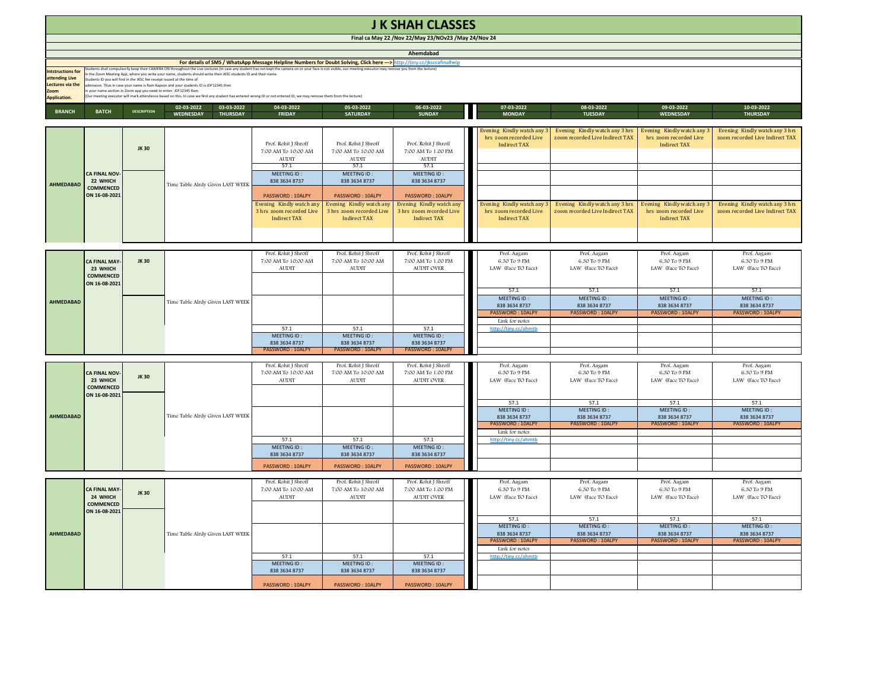| <b>J K SHAH CLASSES</b>                                                                                                                                                                                                                                                                                                                                                                                                                                                                                                                                                                                                                                                                                                                                                                                                                                                                                                                                          |                                                        |                    |                                                          |                                                                              |                                                                             |                                                                             |                                                                           |                                                                   |                                                                             |                                                                   |
|------------------------------------------------------------------------------------------------------------------------------------------------------------------------------------------------------------------------------------------------------------------------------------------------------------------------------------------------------------------------------------------------------------------------------------------------------------------------------------------------------------------------------------------------------------------------------------------------------------------------------------------------------------------------------------------------------------------------------------------------------------------------------------------------------------------------------------------------------------------------------------------------------------------------------------------------------------------|--------------------------------------------------------|--------------------|----------------------------------------------------------|------------------------------------------------------------------------------|-----------------------------------------------------------------------------|-----------------------------------------------------------------------------|---------------------------------------------------------------------------|-------------------------------------------------------------------|-----------------------------------------------------------------------------|-------------------------------------------------------------------|
| Final ca May 22 / Nov 22/May 23/NOv23 / May 24/Nov 24                                                                                                                                                                                                                                                                                                                                                                                                                                                                                                                                                                                                                                                                                                                                                                                                                                                                                                            |                                                        |                    |                                                          |                                                                              |                                                                             |                                                                             |                                                                           |                                                                   |                                                                             |                                                                   |
| Ahemdabad                                                                                                                                                                                                                                                                                                                                                                                                                                                                                                                                                                                                                                                                                                                                                                                                                                                                                                                                                        |                                                        |                    |                                                          |                                                                              |                                                                             |                                                                             |                                                                           |                                                                   |                                                                             |                                                                   |
| For details of SMS / WhatsApp Message Helpline Numbers for Doubt Solving, Click here ---> http://tiny.cc/jksccafinalhelp<br>tudents shall compulsorily keep their CAMERA ON throughout the Live Lectures (in case any student has not kept the camera on or your face is not visible, our meeting executor may remove you from the lecture)<br><b>Intstructions for</b><br>the Zoom Meeting App, where you write your name, students should write their JKSC students ID and their name.<br>attending Live<br>lents ID you will find in the JKSC fee receipt issued at the time of<br>ectures via the<br>mission. Thus in case your name is Ram Kapoor and your students ID is JDF12345 then<br>vour name section in Zoom app you need to enter-JDF12345 Ram<br>Zoom<br>Jur meeting executor will mark attendance based on this. In case we find any student has entered wrong ID or not entered ID, we may remove them from the lecture)<br><b>Application.</b> |                                                        |                    |                                                          |                                                                              |                                                                             |                                                                             |                                                                           |                                                                   |                                                                             |                                                                   |
| <b>BRANCH</b>                                                                                                                                                                                                                                                                                                                                                                                                                                                                                                                                                                                                                                                                                                                                                                                                                                                                                                                                                    | <b>ВАТСН</b>                                           | <b>DESCRIPTION</b> | 03-03-2022<br>02-03-2022<br>WEDNESDAY<br><b>THURSDAY</b> | 04-03-2022<br><b>FRIDAY</b>                                                  | 05-03-2022<br><b>SATURDAY</b>                                               | 06-03-2022<br><b>SUNDAY</b>                                                 | 07-03-2022<br><b>MONDAY</b>                                               | 08-03-2022<br><b>TUESDAY</b>                                      | 09-03-2022<br>WEDNESDAY                                                     | 10-03-2022<br><b>THURSDAY</b>                                     |
|                                                                                                                                                                                                                                                                                                                                                                                                                                                                                                                                                                                                                                                                                                                                                                                                                                                                                                                                                                  |                                                        |                    |                                                          |                                                                              |                                                                             |                                                                             |                                                                           |                                                                   |                                                                             |                                                                   |
|                                                                                                                                                                                                                                                                                                                                                                                                                                                                                                                                                                                                                                                                                                                                                                                                                                                                                                                                                                  | CA FINAL NOV<br>22 WHICH                               | JK 30              | Time Table Alrdy Given LAST WEEK                         | Prof. Rohit J Shroff<br>7:00 AM To 10:00 AM<br>$\Lambda \text{UDIT}$<br>57.1 | Prof. Rohit J Shroff<br>7:00 AM To 10:00 AM<br><b>AUDIT</b><br>57.1         | Prof. Rohit J Shroff<br>7:00 AM To 1.00 PM<br><b>AUDIT</b><br>57.1          | Evening Kindly watch any<br>hrs zoom recorded Live<br><b>Indirect TAX</b> | Evening Kindly watch any 3 hrs<br>zoom recorded Live Indirect TAX | Evening Kindly watch any 3<br>hrs zoom recorded Live<br><b>Indirect TAX</b> | Evening Kindly watch any 3 hrs<br>zoom recorded Live Indirect TAX |
|                                                                                                                                                                                                                                                                                                                                                                                                                                                                                                                                                                                                                                                                                                                                                                                                                                                                                                                                                                  |                                                        |                    |                                                          | MEETING ID:<br>838 3634 8737                                                 | MEETING ID:<br>838 3634 8737                                                | MEETING ID:<br>838 3634 8737                                                |                                                                           |                                                                   |                                                                             |                                                                   |
| <b>AHMEDABAD</b>                                                                                                                                                                                                                                                                                                                                                                                                                                                                                                                                                                                                                                                                                                                                                                                                                                                                                                                                                 | COMMENCED<br>ON 16-08-202:                             |                    |                                                          | PASSWORD: 10ALPY                                                             | PASSWORD: 10ALPY                                                            | PASSWORD: 10ALPY                                                            |                                                                           |                                                                   |                                                                             |                                                                   |
|                                                                                                                                                                                                                                                                                                                                                                                                                                                                                                                                                                                                                                                                                                                                                                                                                                                                                                                                                                  |                                                        |                    |                                                          | Evening Kindly watch any<br>3 hrs zoom recorded Live<br><b>Indirect TAX</b>  | Evening Kindly watch any<br>3 hrs zoom recorded Live<br><b>Indirect TAX</b> | Evening Kindly watch any<br>3 hrs zoom recorded Live<br><b>Indirect TAX</b> | Evening Kindly watch any<br>hrs zoom recorded Live<br><b>Indirect TAX</b> | Evening Kindly watch any 3 hrs<br>zoom recorded Live Indirect TAX | Evening Kindly watch any 3<br>hrs zoom recorded Live<br><b>Indirect TAX</b> | Evening Kindly watch any 3 hrs<br>zoom recorded Live Indirect TAX |
|                                                                                                                                                                                                                                                                                                                                                                                                                                                                                                                                                                                                                                                                                                                                                                                                                                                                                                                                                                  |                                                        |                    |                                                          |                                                                              |                                                                             |                                                                             |                                                                           |                                                                   |                                                                             |                                                                   |
| AHMEDABAD                                                                                                                                                                                                                                                                                                                                                                                                                                                                                                                                                                                                                                                                                                                                                                                                                                                                                                                                                        | CA FINAL MAY<br>23 WHICH<br>COMMENCED<br>ON 16-08-2021 | <b>JK30</b>        |                                                          | Prof. Rohit J Shroff<br>7:00 AM To 10:00 AM<br><b>AUDIT</b>                  | Prof. Rohit J Shroff<br>7:00 AM To 10:00 AM<br><b>AUDIT</b>                 | Prof. Rohit J Shroff<br>7:00 AM To 1.00 PM<br>AUDIT OVER                    | Prof. Aagam<br>6.30 To 9 PM<br>LAW (Face TO Face)                         | Prof. Aagam<br>6.30 To 9 PM<br>LAW (Face TO Face)                 | Prof. Aagam<br>6.30 To 9 PM<br>LAW (Face TO Face)                           | Prof. Aagam<br>6.30 To 9 PM<br>LAW (Face TO Face)                 |
|                                                                                                                                                                                                                                                                                                                                                                                                                                                                                                                                                                                                                                                                                                                                                                                                                                                                                                                                                                  |                                                        |                    |                                                          |                                                                              |                                                                             |                                                                             | 57.1                                                                      | 57.1                                                              | 57.1                                                                        | 57.1                                                              |
|                                                                                                                                                                                                                                                                                                                                                                                                                                                                                                                                                                                                                                                                                                                                                                                                                                                                                                                                                                  |                                                        |                    | Time Table Alrdy Given LAST WEEK                         |                                                                              |                                                                             |                                                                             | MEETING ID:<br>838 3634 8737                                              | MEETING ID:<br>838 3634 8737                                      | MEETING ID:<br>838 3634 8737                                                | MEETING ID:<br>838 3634 8737                                      |
|                                                                                                                                                                                                                                                                                                                                                                                                                                                                                                                                                                                                                                                                                                                                                                                                                                                                                                                                                                  |                                                        |                    |                                                          |                                                                              |                                                                             |                                                                             | PASSWORD: 10ALPY                                                          | PASSWORD: 10ALPY                                                  | PASSWORD: 10ALP                                                             | PASSWORD: 10ALPY                                                  |
|                                                                                                                                                                                                                                                                                                                                                                                                                                                                                                                                                                                                                                                                                                                                                                                                                                                                                                                                                                  |                                                        |                    |                                                          | 57.1                                                                         | 57.1                                                                        | 57.1                                                                        | Link for notes<br>http://tiny.cc/ahmtb                                    |                                                                   |                                                                             |                                                                   |
|                                                                                                                                                                                                                                                                                                                                                                                                                                                                                                                                                                                                                                                                                                                                                                                                                                                                                                                                                                  |                                                        |                    |                                                          | MEETING ID:<br>838 3634 8737                                                 | MEETING ID:<br>838 3634 8737                                                | MEETING ID:<br>838 3634 8737                                                |                                                                           |                                                                   |                                                                             |                                                                   |
|                                                                                                                                                                                                                                                                                                                                                                                                                                                                                                                                                                                                                                                                                                                                                                                                                                                                                                                                                                  |                                                        |                    |                                                          | PASSWORD: 10ALPY                                                             | PASSWORD: 10ALPY                                                            | PASSWORD: 10ALPY                                                            |                                                                           |                                                                   |                                                                             |                                                                   |
|                                                                                                                                                                                                                                                                                                                                                                                                                                                                                                                                                                                                                                                                                                                                                                                                                                                                                                                                                                  |                                                        |                    |                                                          | Prof. Rohit J Shroff                                                         | Prof. Rohit J Shroff                                                        | Prof. Rohit J Shroff                                                        | Prof. Aagam                                                               | Prof. Aagam                                                       | Prof. Aagam                                                                 | Prof. Aagam                                                       |
|                                                                                                                                                                                                                                                                                                                                                                                                                                                                                                                                                                                                                                                                                                                                                                                                                                                                                                                                                                  | CA FINAL NOV<br>23 WHICH<br><b>COMMENCED</b>           | <b>JK30</b>        |                                                          | 7:00 AM To 10:00 AM                                                          | 7:00 AM To 10:00 AM                                                         | 7:00 AM To 1.00 PM                                                          | 6.30 To 9 PM                                                              | 6.30 To 9 PM                                                      | 6.30 To 9 PM                                                                | 6.30 To 9 PM                                                      |
|                                                                                                                                                                                                                                                                                                                                                                                                                                                                                                                                                                                                                                                                                                                                                                                                                                                                                                                                                                  |                                                        |                    |                                                          | <b>AUDIT</b>                                                                 | <b>AUDIT</b>                                                                | AUDIT OVER                                                                  | LAW (Face TO Face)                                                        | LAW (Face TO Face)                                                | LAW (Face TO Face)                                                          | LAW (Face TO Face)                                                |
|                                                                                                                                                                                                                                                                                                                                                                                                                                                                                                                                                                                                                                                                                                                                                                                                                                                                                                                                                                  | ON 16-08-2021                                          |                    |                                                          |                                                                              |                                                                             |                                                                             | 57.1                                                                      | 57.1                                                              | 57.1                                                                        | 57.1                                                              |
| <b>AHMEDABAD</b>                                                                                                                                                                                                                                                                                                                                                                                                                                                                                                                                                                                                                                                                                                                                                                                                                                                                                                                                                 |                                                        |                    | Time Table Alrdy Given LAST WEEK                         |                                                                              |                                                                             |                                                                             | MEETING ID:<br>838 3634 8737<br>PASSWORD: 10ALPY<br>Link for notes        | MEETING ID:<br>838 3634 8737<br>PASSWORD: 10ALPY                  | MEETING ID:<br>838 3634 8737<br>PASSWORD: 10ALPY                            | MEETING ID:<br>838 3634 8737<br>PASSWORD: 10ALPY                  |
|                                                                                                                                                                                                                                                                                                                                                                                                                                                                                                                                                                                                                                                                                                                                                                                                                                                                                                                                                                  |                                                        |                    |                                                          | 57.1                                                                         | 57.1                                                                        | 57.1                                                                        | http://tiny.cc/ahmtb                                                      |                                                                   |                                                                             |                                                                   |
|                                                                                                                                                                                                                                                                                                                                                                                                                                                                                                                                                                                                                                                                                                                                                                                                                                                                                                                                                                  |                                                        |                    |                                                          | MEETING ID:<br>838 3634 8737                                                 | <b>MEETING ID:</b><br>838 3634 8737                                         | <b>MEETING ID:</b><br>838 3634 8737                                         |                                                                           |                                                                   |                                                                             |                                                                   |
|                                                                                                                                                                                                                                                                                                                                                                                                                                                                                                                                                                                                                                                                                                                                                                                                                                                                                                                                                                  |                                                        |                    |                                                          | PASSWORD: 10ALPY                                                             | PASSWORD: 10ALPY                                                            | PASSWORD: 10ALPY                                                            |                                                                           |                                                                   |                                                                             |                                                                   |
|                                                                                                                                                                                                                                                                                                                                                                                                                                                                                                                                                                                                                                                                                                                                                                                                                                                                                                                                                                  |                                                        |                    |                                                          |                                                                              |                                                                             |                                                                             |                                                                           |                                                                   |                                                                             |                                                                   |
| AHMEDABAD                                                                                                                                                                                                                                                                                                                                                                                                                                                                                                                                                                                                                                                                                                                                                                                                                                                                                                                                                        | CA FINAL MAY<br>24 WHICH<br>COMMENCED<br>ON 16-08-2021 | <b>JK30</b>        | Time Table Alrdy Given LAST WEEK                         | Prof. Rohit J Shroff<br>7:00 AM To 10:00 AM<br><b>AUDIT</b>                  | Prof. Rohit J Shroff<br>7:00 AM To 10:00 AM<br><b>AUDIT</b>                 | Prof. Rohit J Shroff<br>7:00 AM To 1.00 PM<br><b>AUDIT OVER</b>             | Prof. Aagam<br>6.30 To 9 PM<br>LAW (Face TO Face)                         | Prof. Aagam<br>6.30 To 9 PM<br>LAW (Face TO Face)                 | Prof. Aagam<br>6.30 To 9 PM<br>LAW (Face TO Face)                           | Prof. Aagam<br>6.30 To 9 PM<br>LAW (Face TO Face)                 |
|                                                                                                                                                                                                                                                                                                                                                                                                                                                                                                                                                                                                                                                                                                                                                                                                                                                                                                                                                                  |                                                        |                    |                                                          |                                                                              |                                                                             |                                                                             | 57.1                                                                      | 57.1                                                              | 57.1                                                                        | 57.1                                                              |
|                                                                                                                                                                                                                                                                                                                                                                                                                                                                                                                                                                                                                                                                                                                                                                                                                                                                                                                                                                  |                                                        |                    |                                                          |                                                                              |                                                                             |                                                                             | <b>MEETING ID:</b><br>838 3634 8737                                       | MEETING ID:<br>838 3634 8737                                      | MEETING ID:<br>838 3634 8737                                                | MEETING ID:<br>838 3634 8737                                      |
|                                                                                                                                                                                                                                                                                                                                                                                                                                                                                                                                                                                                                                                                                                                                                                                                                                                                                                                                                                  |                                                        |                    |                                                          |                                                                              |                                                                             |                                                                             | PASSWORD: 10ALPY                                                          | PASSWORD: 10ALPY                                                  | PASSWORD: 10ALPY                                                            | PASSWORD: 10ALPY                                                  |
|                                                                                                                                                                                                                                                                                                                                                                                                                                                                                                                                                                                                                                                                                                                                                                                                                                                                                                                                                                  |                                                        |                    |                                                          | 57.1                                                                         | 57.1                                                                        | 57.1                                                                        | Link for notes<br>http://tiny.cc/ahmtb                                    |                                                                   |                                                                             |                                                                   |
|                                                                                                                                                                                                                                                                                                                                                                                                                                                                                                                                                                                                                                                                                                                                                                                                                                                                                                                                                                  |                                                        |                    |                                                          | MEFTING ID:<br>838 3634 8737                                                 | MEETING ID:<br>838 3634 8737                                                | MFFTING ID:<br>838 3634 8737                                                |                                                                           |                                                                   |                                                                             |                                                                   |
|                                                                                                                                                                                                                                                                                                                                                                                                                                                                                                                                                                                                                                                                                                                                                                                                                                                                                                                                                                  |                                                        |                    |                                                          |                                                                              |                                                                             |                                                                             |                                                                           |                                                                   |                                                                             |                                                                   |
|                                                                                                                                                                                                                                                                                                                                                                                                                                                                                                                                                                                                                                                                                                                                                                                                                                                                                                                                                                  |                                                        |                    |                                                          | PASSWORD: 10ALPY                                                             | PASSWORD: 10ALPY                                                            | PASSWORD: 10ALPY                                                            |                                                                           |                                                                   |                                                                             |                                                                   |